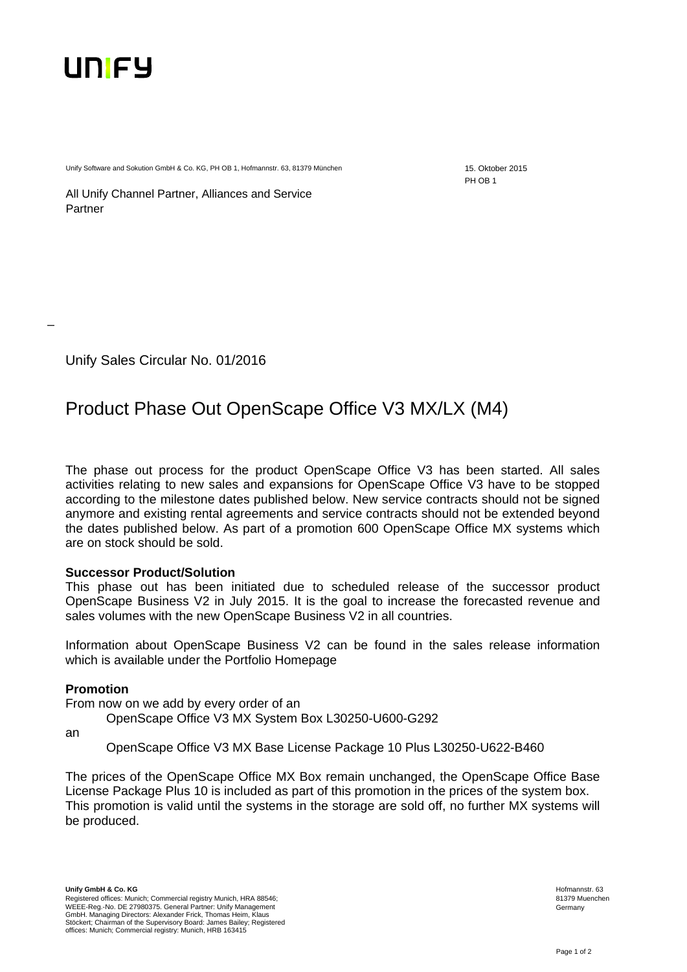

Unify Software and Sokution GmbH & Co. KG, PH OB 1, Hofmannstr. 63, 81379 München 15. Oktober 2015

PH OB 1

All Unify Channel Partner, Alliances and Service Partner

Unify Sales Circular No. 01/2016

# Product Phase Out OpenScape Office V3 MX/LX (M4)

The phase out process for the product OpenScape Office V3 has been started. All sales activities relating to new sales and expansions for OpenScape Office V3 have to be stopped according to the milestone dates published below. New service contracts should not be signed anymore and existing rental agreements and service contracts should not be extended beyond the dates published below. As part of a promotion 600 OpenScape Office MX systems which are on stock should be sold.

# **Successor Product/Solution**

This phase out has been initiated due to scheduled release of the successor product OpenScape Business V2 in July 2015. It is the goal to increase the forecasted revenue and sales volumes with the new OpenScape Business V2 in all countries.

Information about OpenScape Business V2 can be found in the sales release information which is available under the Portfolio Homepage

# **Promotion**

From now on we add by every order of an

OpenScape Office V3 MX System Box L30250-U600-G292

an

\_

OpenScape Office V3 MX Base License Package 10 Plus L30250-U622-B460

The prices of the OpenScape Office MX Box remain unchanged, the OpenScape Office Base License Package Plus 10 is included as part of this promotion in the prices of the system box. This promotion is valid until the systems in the storage are sold off, no further MX systems will be produced.